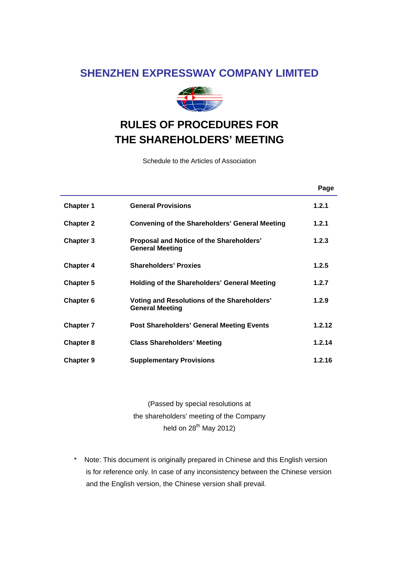## **SHENZHEN EXPRESSWAY COMPANY LIMITED**



# **RULES OF PROCEDURES FOR THE SHAREHOLDERS' MEETING**

Schedule to the Articles of Association

|                  |                                                                       | Page   |
|------------------|-----------------------------------------------------------------------|--------|
| <b>Chapter 1</b> | <b>General Provisions</b>                                             | 1.2.1  |
| <b>Chapter 2</b> | <b>Convening of the Shareholders' General Meeting</b>                 | 1.2.1  |
| Chapter 3        | Proposal and Notice of the Shareholders'<br><b>General Meeting</b>    | 1.2.3  |
| <b>Chapter 4</b> | <b>Shareholders' Proxies</b>                                          | 1.2.5  |
| <b>Chapter 5</b> | <b>Holding of the Shareholders' General Meeting</b>                   | 1.2.7  |
| <b>Chapter 6</b> | Voting and Resolutions of the Shareholders'<br><b>General Meeting</b> | 1.2.9  |
| <b>Chapter 7</b> | <b>Post Shareholders' General Meeting Events</b>                      | 1.2.12 |
| <b>Chapter 8</b> | <b>Class Shareholders' Meeting</b>                                    | 1.2.14 |
| <b>Chapter 9</b> | <b>Supplementary Provisions</b>                                       | 1.2.16 |

(Passed by special resolutions at the shareholders' meeting of the Company held on  $28^{th}$  May 2012)

\* Note: This document is originally prepared in Chinese and this English version is for reference only. In case of any inconsistency between the Chinese version and the English version, the Chinese version shall prevail.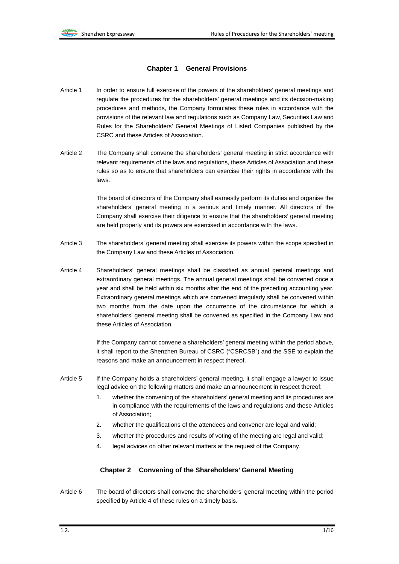#### **Chapter 1 General Provisions**

- Article 1 In order to ensure full exercise of the powers of the shareholders' general meetings and regulate the procedures for the shareholders' general meetings and its decision-making procedures and methods, the Company formulates these rules in accordance with the provisions of the relevant law and regulations such as Company Law, Securities Law and Rules for the Shareholders' General Meetings of Listed Companies published by the CSRC and these Articles of Association.
- Article 2 The Company shall convene the shareholders' general meeting in strict accordance with relevant requirements of the laws and regulations, these Articles of Association and these rules so as to ensure that shareholders can exercise their rights in accordance with the laws.

The board of directors of the Company shall earnestly perform its duties and organise the shareholders' general meeting in a serious and timely manner. All directors of the Company shall exercise their diligence to ensure that the shareholders' general meeting are held properly and its powers are exercised in accordance with the laws.

- Article 3 The shareholders' general meeting shall exercise its powers within the scope specified in the Company Law and these Articles of Association.
- Article 4 Shareholders' general meetings shall be classified as annual general meetings and extraordinary general meetings. The annual general meetings shall be convened once a year and shall be held within six months after the end of the preceding accounting year. Extraordinary general meetings which are convened irregularly shall be convened within two months from the date upon the occurrence of the circumstance for which a shareholders' general meeting shall be convened as specified in the Company Law and these Articles of Association.

If the Company cannot convene a shareholders' general meeting within the period above, it shall report to the Shenzhen Bureau of CSRC ("CSRCSB") and the SSE to explain the reasons and make an announcement in respect thereof.

- Article 5 If the Company holds a shareholders' general meeting, it shall engage a lawyer to issue legal advice on the following matters and make an announcement in respect thereof:
	- 1. whether the convening of the shareholders' general meeting and its procedures are in compliance with the requirements of the laws and regulations and these Articles of Association;
	- 2. whether the qualifications of the attendees and convener are legal and valid;
	- 3. whether the procedures and results of voting of the meeting are legal and valid;
	- 4. legal advices on other relevant matters at the request of the Company.

#### **Chapter 2 Convening of the Shareholders' General Meeting**

Article 6 The board of directors shall convene the shareholders' general meeting within the period specified by Article 4 of these rules on a timely basis.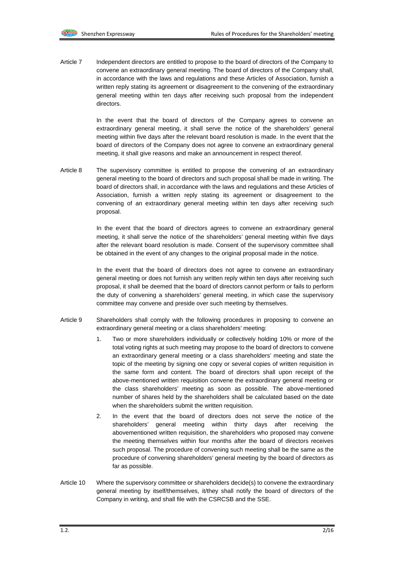Article 7 Independent directors are entitled to propose to the board of directors of the Company to convene an extraordinary general meeting. The board of directors of the Company shall, in accordance with the laws and regulations and these Articles of Association, furnish a written reply stating its agreement or disagreement to the convening of the extraordinary general meeting within ten days after receiving such proposal from the independent directors.

> In the event that the board of directors of the Company agrees to convene an extraordinary general meeting, it shall serve the notice of the shareholders' general meeting within five days after the relevant board resolution is made. In the event that the board of directors of the Company does not agree to convene an extraordinary general meeting, it shall give reasons and make an announcement in respect thereof.

Article 8 The supervisory committee is entitled to propose the convening of an extraordinary general meeting to the board of directors and such proposal shall be made in writing. The board of directors shall, in accordance with the laws and regulations and these Articles of Association, furnish a written reply stating its agreement or disagreement to the convening of an extraordinary general meeting within ten days after receiving such proposal.

> In the event that the board of directors agrees to convene an extraordinary general meeting, it shall serve the notice of the shareholders' general meeting within five days after the relevant board resolution is made. Consent of the supervisory committee shall be obtained in the event of any changes to the original proposal made in the notice.

> In the event that the board of directors does not agree to convene an extraordinary general meeting or does not furnish any written reply within ten days after receiving such proposal, it shall be deemed that the board of directors cannot perform or fails to perform the duty of convening a shareholders' general meeting, in which case the supervisory committee may convene and preside over such meeting by themselves.

- Article 9 Shareholders shall comply with the following procedures in proposing to convene an extraordinary general meeting or a class shareholders' meeting:
	- 1. Two or more shareholders individually or collectively holding 10% or more of the total voting rights at such meeting may propose to the board of directors to convene an extraordinary general meeting or a class shareholders' meeting and state the topic of the meeting by signing one copy or several copies of written requisition in the same form and content. The board of directors shall upon receipt of the above-mentioned written requisition convene the extraordinary general meeting or the class shareholders' meeting as soon as possible. The above-mentioned number of shares held by the shareholders shall be calculated based on the date when the shareholders submit the written requisition.
	- 2. In the event that the board of directors does not serve the notice of the shareholders' general meeting within thirty days after receiving the abovementioned written requisition, the shareholders who proposed may convene the meeting themselves within four months after the board of directors receives such proposal. The procedure of convening such meeting shall be the same as the procedure of convening shareholders' general meeting by the board of directors as far as possible.
- Article 10 Where the supervisory committee or shareholders decide(s) to convene the extraordinary general meeting by itself/themselves, it/they shall notify the board of directors of the Company in writing, and shall file with the CSRCSB and the SSE.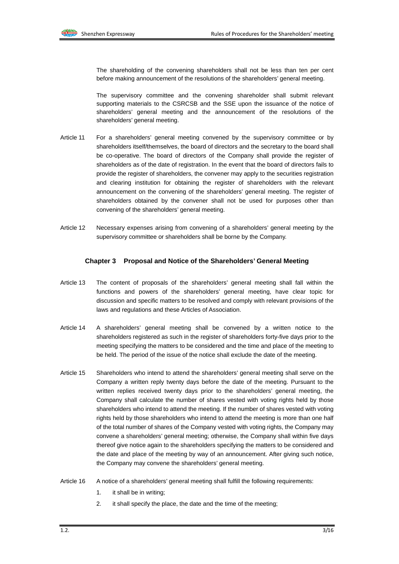The shareholding of the convening shareholders shall not be less than ten per cent before making announcement of the resolutions of the shareholders' general meeting.

The supervisory committee and the convening shareholder shall submit relevant supporting materials to the CSRCSB and the SSE upon the issuance of the notice of shareholders' general meeting and the announcement of the resolutions of the shareholders' general meeting.

- Article 11 For a shareholders' general meeting convened by the supervisory committee or by shareholders itself/themselves, the board of directors and the secretary to the board shall be co-operative. The board of directors of the Company shall provide the register of shareholders as of the date of registration. In the event that the board of directors fails to provide the register of shareholders, the convener may apply to the securities registration and clearing institution for obtaining the register of shareholders with the relevant announcement on the convening of the shareholders' general meeting. The register of shareholders obtained by the convener shall not be used for purposes other than convening of the shareholders' general meeting.
- Article 12 Necessary expenses arising from convening of a shareholders' general meeting by the supervisory committee or shareholders shall be borne by the Company.

#### **Chapter 3 Proposal and Notice of the Shareholders' General Meeting**

- Article 13 The content of proposals of the shareholders' general meeting shall fall within the functions and powers of the shareholders' general meeting, have clear topic for discussion and specific matters to be resolved and comply with relevant provisions of the laws and regulations and these Articles of Association.
- Article 14 A shareholders' general meeting shall be convened by a written notice to the shareholders registered as such in the register of shareholders forty-five days prior to the meeting specifying the matters to be considered and the time and place of the meeting to be held. The period of the issue of the notice shall exclude the date of the meeting.
- Article 15 Shareholders who intend to attend the shareholders' general meeting shall serve on the Company a written reply twenty days before the date of the meeting. Pursuant to the written replies received twenty days prior to the shareholders' general meeting, the Company shall calculate the number of shares vested with voting rights held by those shareholders who intend to attend the meeting. If the number of shares vested with voting rights held by those shareholders who intend to attend the meeting is more than one half of the total number of shares of the Company vested with voting rights, the Company may convene a shareholders' general meeting; otherwise, the Company shall within five days thereof give notice again to the shareholders specifying the matters to be considered and the date and place of the meeting by way of an announcement. After giving such notice, the Company may convene the shareholders' general meeting.
- Article 16 A notice of a shareholders' general meeting shall fulfill the following requirements:
	- 1. it shall be in writing;
	- 2. it shall specify the place, the date and the time of the meeting;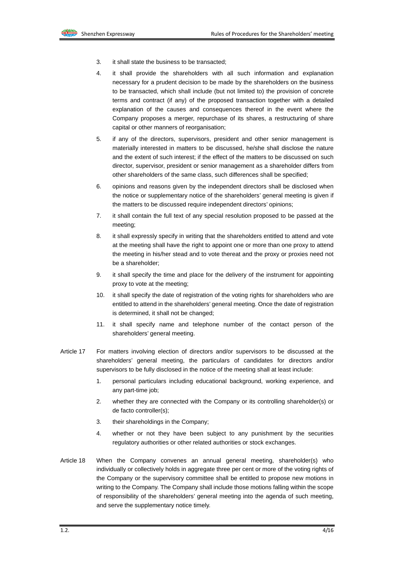- 3. it shall state the business to be transacted;
- 4. it shall provide the shareholders with all such information and explanation necessary for a prudent decision to be made by the shareholders on the business to be transacted, which shall include (but not limited to) the provision of concrete terms and contract (if any) of the proposed transaction together with a detailed explanation of the causes and consequences thereof in the event where the Company proposes a merger, repurchase of its shares, a restructuring of share capital or other manners of reorganisation;
- 5. if any of the directors, supervisors, president and other senior management is materially interested in matters to be discussed, he/she shall disclose the nature and the extent of such interest; if the effect of the matters to be discussed on such director, supervisor, president or senior management as a shareholder differs from other shareholders of the same class, such differences shall be specified;
- 6. opinions and reasons given by the independent directors shall be disclosed when the notice or supplementary notice of the shareholders' general meeting is given if the matters to be discussed require independent directors' opinions;
- 7. it shall contain the full text of any special resolution proposed to be passed at the meeting;
- 8. it shall expressly specify in writing that the shareholders entitled to attend and vote at the meeting shall have the right to appoint one or more than one proxy to attend the meeting in his/her stead and to vote thereat and the proxy or proxies need not be a shareholder;
- 9. it shall specify the time and place for the delivery of the instrument for appointing proxy to vote at the meeting;
- 10. it shall specify the date of registration of the voting rights for shareholders who are entitled to attend in the shareholders' general meeting. Once the date of registration is determined, it shall not be changed;
- 11. it shall specify name and telephone number of the contact person of the shareholders' general meeting.
- Article 17 For matters involving election of directors and/or supervisors to be discussed at the shareholders' general meeting, the particulars of candidates for directors and/or supervisors to be fully disclosed in the notice of the meeting shall at least include:
	- 1. personal particulars including educational background, working experience, and any part-time job;
	- 2. whether they are connected with the Company or its controlling shareholder(s) or de facto controller(s);
	- 3. their shareholdings in the Company;
	- 4. whether or not they have been subject to any punishment by the securities regulatory authorities or other related authorities or stock exchanges.
- Article 18 When the Company convenes an annual general meeting, shareholder(s) who individually or collectively holds in aggregate three per cent or more of the voting rights of the Company or the supervisory committee shall be entitled to propose new motions in writing to the Company. The Company shall include those motions falling within the scope of responsibility of the shareholders' general meeting into the agenda of such meeting, and serve the supplementary notice timely.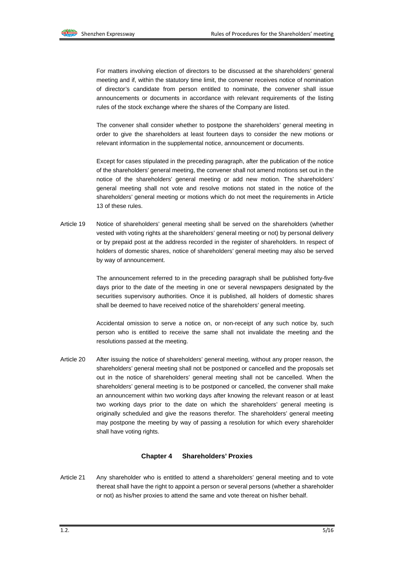For matters involving election of directors to be discussed at the shareholders' general meeting and if, within the statutory time limit, the convener receives notice of nomination of director's candidate from person entitled to nominate, the convener shall issue announcements or documents in accordance with relevant requirements of the listing rules of the stock exchange where the shares of the Company are listed.

The convener shall consider whether to postpone the shareholders' general meeting in order to give the shareholders at least fourteen days to consider the new motions or relevant information in the supplemental notice, announcement or documents.

Except for cases stipulated in the preceding paragraph, after the publication of the notice of the shareholders' general meeting, the convener shall not amend motions set out in the notice of the shareholders' general meeting or add new motion. The shareholders' general meeting shall not vote and resolve motions not stated in the notice of the shareholders' general meeting or motions which do not meet the requirements in Article 13 of these rules.

Article 19 Notice of shareholders' general meeting shall be served on the shareholders (whether vested with voting rights at the shareholders' general meeting or not) by personal delivery or by prepaid post at the address recorded in the register of shareholders. In respect of holders of domestic shares, notice of shareholders' general meeting may also be served by way of announcement.

> The announcement referred to in the preceding paragraph shall be published forty-five days prior to the date of the meeting in one or several newspapers designated by the securities supervisory authorities. Once it is published, all holders of domestic shares shall be deemed to have received notice of the shareholders' general meeting.

> Accidental omission to serve a notice on, or non-receipt of any such notice by, such person who is entitled to receive the same shall not invalidate the meeting and the resolutions passed at the meeting.

Article 20 After issuing the notice of shareholders' general meeting, without any proper reason, the shareholders' general meeting shall not be postponed or cancelled and the proposals set out in the notice of shareholders' general meeting shall not be cancelled. When the shareholders' general meeting is to be postponed or cancelled, the convener shall make an announcement within two working days after knowing the relevant reason or at least two working days prior to the date on which the shareholders' general meeting is originally scheduled and give the reasons therefor. The shareholders' general meeting may postpone the meeting by way of passing a resolution for which every shareholder shall have voting rights.

#### **Chapter 4 Shareholders' Proxies**

Article 21 Any shareholder who is entitled to attend a shareholders' general meeting and to vote thereat shall have the right to appoint a person or several persons (whether a shareholder or not) as his/her proxies to attend the same and vote thereat on his/her behalf.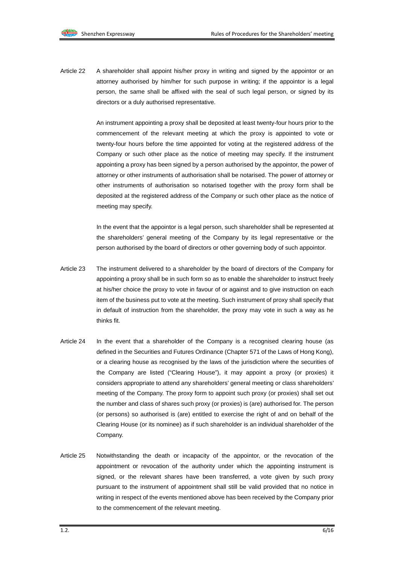Article 22 A shareholder shall appoint his/her proxy in writing and signed by the appointor or an attorney authorised by him/her for such purpose in writing; if the appointor is a legal person, the same shall be affixed with the seal of such legal person, or signed by its directors or a duly authorised representative.

> An instrument appointing a proxy shall be deposited at least twenty-four hours prior to the commencement of the relevant meeting at which the proxy is appointed to vote or twenty-four hours before the time appointed for voting at the registered address of the Company or such other place as the notice of meeting may specify. If the instrument appointing a proxy has been signed by a person authorised by the appointor, the power of attorney or other instruments of authorisation shall be notarised. The power of attorney or other instruments of authorisation so notarised together with the proxy form shall be deposited at the registered address of the Company or such other place as the notice of meeting may specify.

> In the event that the appointor is a legal person, such shareholder shall be represented at the shareholders' general meeting of the Company by its legal representative or the person authorised by the board of directors or other governing body of such appointor.

- Article 23 The instrument delivered to a shareholder by the board of directors of the Company for appointing a proxy shall be in such form so as to enable the shareholder to instruct freely at his/her choice the proxy to vote in favour of or against and to give instruction on each item of the business put to vote at the meeting. Such instrument of proxy shall specify that in default of instruction from the shareholder, the proxy may vote in such a way as he thinks fit.
- Article 24 In the event that a shareholder of the Company is a recognised clearing house (as defined in the Securities and Futures Ordinance (Chapter 571 of the Laws of Hong Kong), or a clearing house as recognised by the laws of the jurisdiction where the securities of the Company are listed ("Clearing House"), it may appoint a proxy (or proxies) it considers appropriate to attend any shareholders' general meeting or class shareholders' meeting of the Company. The proxy form to appoint such proxy (or proxies) shall set out the number and class of shares such proxy (or proxies) is (are) authorised for. The person (or persons) so authorised is (are) entitled to exercise the right of and on behalf of the Clearing House (or its nominee) as if such shareholder is an individual shareholder of the Company.
- Article 25 Notwithstanding the death or incapacity of the appointor, or the revocation of the appointment or revocation of the authority under which the appointing instrument is signed, or the relevant shares have been transferred, a vote given by such proxy pursuant to the instrument of appointment shall still be valid provided that no notice in writing in respect of the events mentioned above has been received by the Company prior to the commencement of the relevant meeting.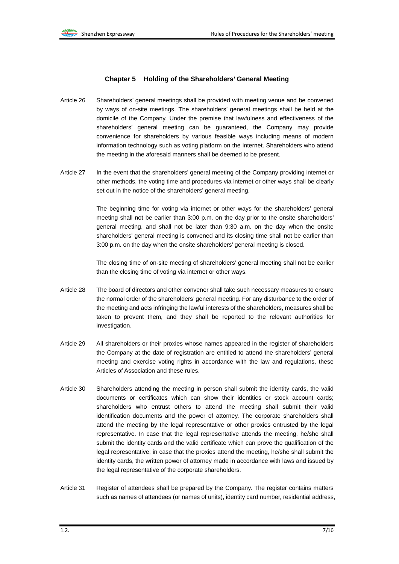#### **Chapter 5 Holding of the Shareholders' General Meeting**

- Article 26 Shareholders' general meetings shall be provided with meeting venue and be convened by ways of on-site meetings. The shareholders' general meetings shall be held at the domicile of the Company. Under the premise that lawfulness and effectiveness of the shareholders' general meeting can be guaranteed, the Company may provide convenience for shareholders by various feasible ways including means of modern information technology such as voting platform on the internet. Shareholders who attend the meeting in the aforesaid manners shall be deemed to be present.
- Article 27 In the event that the shareholders' general meeting of the Company providing internet or other methods, the voting time and procedures via internet or other ways shall be clearly set out in the notice of the shareholders' general meeting.

The beginning time for voting via internet or other ways for the shareholders' general meeting shall not be earlier than 3:00 p.m. on the day prior to the onsite shareholders' general meeting, and shall not be later than 9:30 a.m. on the day when the onsite shareholders' general meeting is convened and its closing time shall not be earlier than 3:00 p.m. on the day when the onsite shareholders' general meeting is closed.

The closing time of on-site meeting of shareholders' general meeting shall not be earlier than the closing time of voting via internet or other ways.

- Article 28 The board of directors and other convener shall take such necessary measures to ensure the normal order of the shareholders' general meeting. For any disturbance to the order of the meeting and acts infringing the lawful interests of the shareholders, measures shall be taken to prevent them, and they shall be reported to the relevant authorities for investigation.
- Article 29 All shareholders or their proxies whose names appeared in the register of shareholders the Company at the date of registration are entitled to attend the shareholders' general meeting and exercise voting rights in accordance with the law and regulations, these Articles of Association and these rules.
- Article 30 Shareholders attending the meeting in person shall submit the identity cards, the valid documents or certificates which can show their identities or stock account cards; shareholders who entrust others to attend the meeting shall submit their valid identification documents and the power of attorney. The corporate shareholders shall attend the meeting by the legal representative or other proxies entrusted by the legal representative. In case that the legal representative attends the meeting, he/she shall submit the identity cards and the valid certificate which can prove the qualification of the legal representative; in case that the proxies attend the meeting, he/she shall submit the identity cards, the written power of attorney made in accordance with laws and issued by the legal representative of the corporate shareholders.
- Article 31 Register of attendees shall be prepared by the Company. The register contains matters such as names of attendees (or names of units), identity card number, residential address,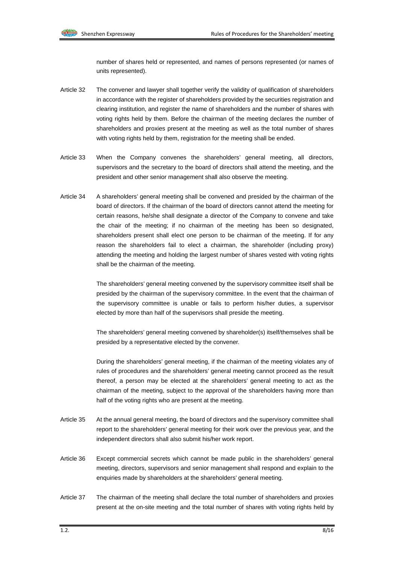number of shares held or represented, and names of persons represented (or names of units represented).

- Article 32 The convener and lawyer shall together verify the validity of qualification of shareholders in accordance with the register of shareholders provided by the securities registration and clearing institution, and register the name of shareholders and the number of shares with voting rights held by them. Before the chairman of the meeting declares the number of shareholders and proxies present at the meeting as well as the total number of shares with voting rights held by them, registration for the meeting shall be ended.
- Article 33 When the Company convenes the shareholders' general meeting, all directors, supervisors and the secretary to the board of directors shall attend the meeting, and the president and other senior management shall also observe the meeting.
- Article 34 A shareholders' general meeting shall be convened and presided by the chairman of the board of directors. If the chairman of the board of directors cannot attend the meeting for certain reasons, he/she shall designate a director of the Company to convene and take the chair of the meeting; if no chairman of the meeting has been so designated, shareholders present shall elect one person to be chairman of the meeting. If for any reason the shareholders fail to elect a chairman, the shareholder (including proxy) attending the meeting and holding the largest number of shares vested with voting rights shall be the chairman of the meeting.

The shareholders' general meeting convened by the supervisory committee itself shall be presided by the chairman of the supervisory committee. In the event that the chairman of the supervisory committee is unable or fails to perform his/her duties, a supervisor elected by more than half of the supervisors shall preside the meeting.

The shareholders' general meeting convened by shareholder(s) itself/themselves shall be presided by a representative elected by the convener.

During the shareholders' general meeting, if the chairman of the meeting violates any of rules of procedures and the shareholders' general meeting cannot proceed as the result thereof, a person may be elected at the shareholders' general meeting to act as the chairman of the meeting, subject to the approval of the shareholders having more than half of the voting rights who are present at the meeting.

- Article 35 At the annual general meeting, the board of directors and the supervisory committee shall report to the shareholders' general meeting for their work over the previous year, and the independent directors shall also submit his/her work report.
- Article 36 Except commercial secrets which cannot be made public in the shareholders' general meeting, directors, supervisors and senior management shall respond and explain to the enquiries made by shareholders at the shareholders' general meeting.
- Article 37 The chairman of the meeting shall declare the total number of shareholders and proxies present at the on-site meeting and the total number of shares with voting rights held by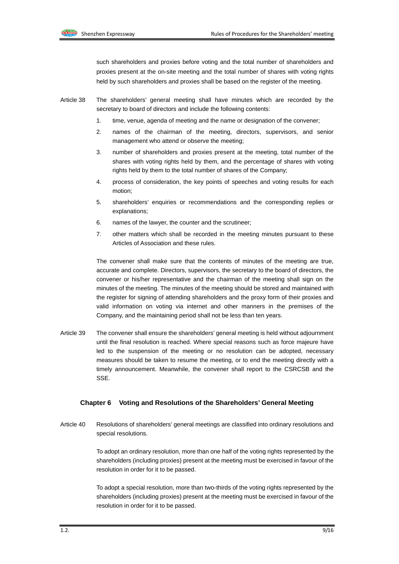such shareholders and proxies before voting and the total number of shareholders and proxies present at the on-site meeting and the total number of shares with voting rights held by such shareholders and proxies shall be based on the register of the meeting.

- Article 38 The shareholders' general meeting shall have minutes which are recorded by the secretary to board of directors and include the following contents:
	- 1. time, venue, agenda of meeting and the name or designation of the convener;
	- 2. names of the chairman of the meeting, directors, supervisors, and senior management who attend or observe the meeting;
	- 3. number of shareholders and proxies present at the meeting, total number of the shares with voting rights held by them, and the percentage of shares with voting rights held by them to the total number of shares of the Company;
	- 4. process of consideration, the key points of speeches and voting results for each motion;
	- 5. shareholders' enquiries or recommendations and the corresponding replies or explanations;
	- 6. names of the lawyer, the counter and the scrutineer;
	- 7. other matters which shall be recorded in the meeting minutes pursuant to these Articles of Association and these rules.

The convener shall make sure that the contents of minutes of the meeting are true, accurate and complete. Directors, supervisors, the secretary to the board of directors, the convener or his/her representative and the chairman of the meeting shall sign on the minutes of the meeting. The minutes of the meeting should be stored and maintained with the register for signing of attending shareholders and the proxy form of their proxies and valid information on voting via internet and other manners in the premises of the Company, and the maintaining period shall not be less than ten years.

Article 39 The convener shall ensure the shareholders' general meeting is held without adjournment until the final resolution is reached. Where special reasons such as force majeure have led to the suspension of the meeting or no resolution can be adopted, necessary measures should be taken to resume the meeting, or to end the meeting directly with a timely announcement. Meanwhile, the convener shall report to the CSRCSB and the SSE.

#### **Chapter 6 Voting and Resolutions of the Shareholders' General Meeting**

Article 40 Resolutions of shareholders' general meetings are classified into ordinary resolutions and special resolutions.

> To adopt an ordinary resolution, more than one half of the voting rights represented by the shareholders (including proxies) present at the meeting must be exercised in favour of the resolution in order for it to be passed.

> To adopt a special resolution, more than two-thirds of the voting rights represented by the shareholders (including proxies) present at the meeting must be exercised in favour of the resolution in order for it to be passed.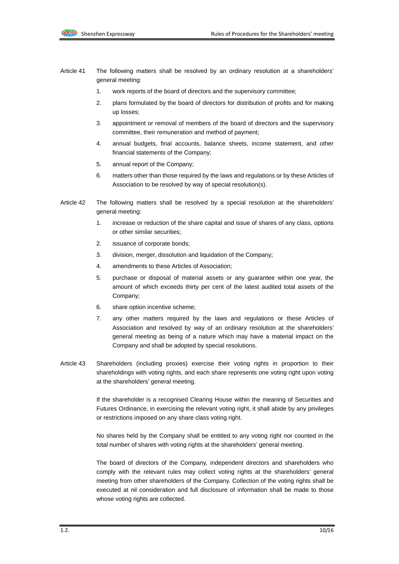- Article 41 The following matters shall be resolved by an ordinary resolution at a shareholders' general meeting:
	- 1. work reports of the board of directors and the supervisory committee;
	- 2. plans formulated by the board of directors for distribution of profits and for making up losses;
	- 3. appointment or removal of members of the board of directors and the supervisory committee, their remuneration and method of payment;
	- 4. annual budgets, final accounts, balance sheets, income statement, and other financial statements of the Company;
	- 5. annual report of the Company;
	- 6. matters other than those required by the laws and regulations or by these Articles of Association to be resolved by way of special resolution(s).
- Article 42 The following matters shall be resolved by a special resolution at the shareholders' general meeting:
	- 1. increase or reduction of the share capital and issue of shares of any class, options or other similar securities;
	- 2. issuance of corporate bonds;
	- 3. division, merger, dissolution and liquidation of the Company;
	- 4. amendments to these Articles of Association;
	- 5. purchase or disposal of material assets or any guarantee within one year, the amount of which exceeds thirty per cent of the latest audited total assets of the Company;
	- 6. share option incentive scheme;
	- 7. any other matters required by the laws and regulations or these Articles of Association and resolved by way of an ordinary resolution at the shareholders' general meeting as being of a nature which may have a material impact on the Company and shall be adopted by special resolutions.
- Article 43 Shareholders (including proxies) exercise their voting rights in proportion to their shareholdings with voting rights, and each share represents one voting right upon voting at the shareholders' general meeting.

If the shareholder is a recognised Clearing House within the meaning of Securities and Futures Ordinance, in exercising the relevant voting right, it shall abide by any privileges or restrictions imposed on any share class voting right.

No shares held by the Company shall be entitled to any voting right nor counted in the total number of shares with voting rights at the shareholders' general meeting.

The board of directors of the Company, independent directors and shareholders who comply with the relevant rules may collect voting rights at the shareholders' general meeting from other shareholders of the Company. Collection of the voting rights shall be executed at nil consideration and full disclosure of information shall be made to those whose voting rights are collected.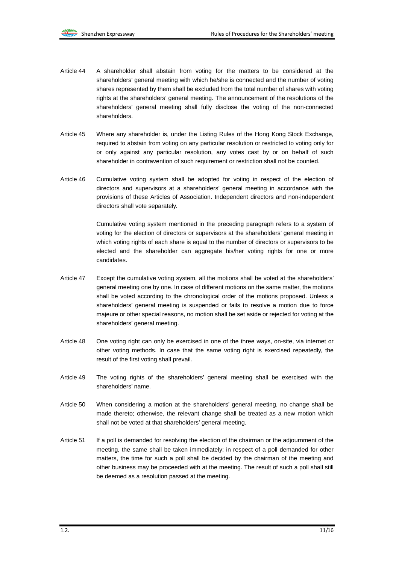- Article 44 A shareholder shall abstain from voting for the matters to be considered at the shareholders' general meeting with which he/she is connected and the number of voting shares represented by them shall be excluded from the total number of shares with voting rights at the shareholders' general meeting. The announcement of the resolutions of the shareholders' general meeting shall fully disclose the voting of the non-connected shareholders.
- Article 45 Where any shareholder is, under the Listing Rules of the Hong Kong Stock Exchange, required to abstain from voting on any particular resolution or restricted to voting only for or only against any particular resolution, any votes cast by or on behalf of such shareholder in contravention of such requirement or restriction shall not be counted.
- Article 46 Cumulative voting system shall be adopted for voting in respect of the election of directors and supervisors at a shareholders' general meeting in accordance with the provisions of these Articles of Association. Independent directors and non-independent directors shall vote separately.

Cumulative voting system mentioned in the preceding paragraph refers to a system of voting for the election of directors or supervisors at the shareholders' general meeting in which voting rights of each share is equal to the number of directors or supervisors to be elected and the shareholder can aggregate his/her voting rights for one or more candidates.

- Article 47 Except the cumulative voting system, all the motions shall be voted at the shareholders' general meeting one by one. In case of different motions on the same matter, the motions shall be voted according to the chronological order of the motions proposed. Unless a shareholders' general meeting is suspended or fails to resolve a motion due to force majeure or other special reasons, no motion shall be set aside or rejected for voting at the shareholders' general meeting.
- Article 48 One voting right can only be exercised in one of the three ways, on-site, via internet or other voting methods. In case that the same voting right is exercised repeatedly, the result of the first voting shall prevail.
- Article 49 The voting rights of the shareholders' general meeting shall be exercised with the shareholders' name.
- Article 50 When considering a motion at the shareholders' general meeting, no change shall be made thereto; otherwise, the relevant change shall be treated as a new motion which shall not be voted at that shareholders' general meeting.
- Article 51 If a poll is demanded for resolving the election of the chairman or the adjournment of the meeting, the same shall be taken immediately; in respect of a poll demanded for other matters, the time for such a poll shall be decided by the chairman of the meeting and other business may be proceeded with at the meeting. The result of such a poll shall still be deemed as a resolution passed at the meeting.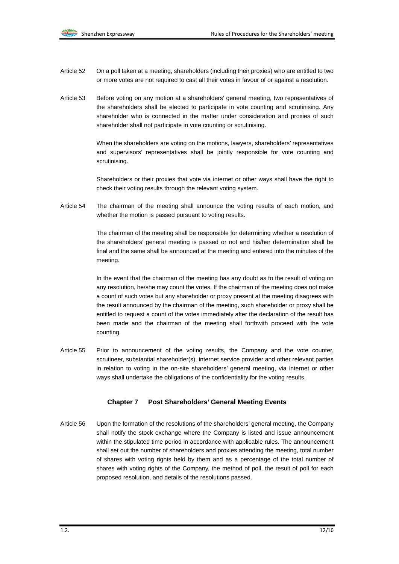- Article 52 On a poll taken at a meeting, shareholders (including their proxies) who are entitled to two or more votes are not required to cast all their votes in favour of or against a resolution.
- Article 53 Before voting on any motion at a shareholders' general meeting, two representatives of the shareholders shall be elected to participate in vote counting and scrutinising. Any shareholder who is connected in the matter under consideration and proxies of such shareholder shall not participate in vote counting or scrutinising.

When the shareholders are voting on the motions, lawyers, shareholders' representatives and supervisors' representatives shall be jointly responsible for vote counting and scrutinising.

Shareholders or their proxies that vote via internet or other ways shall have the right to check their voting results through the relevant voting system.

Article 54 The chairman of the meeting shall announce the voting results of each motion, and whether the motion is passed pursuant to voting results.

> The chairman of the meeting shall be responsible for determining whether a resolution of the shareholders' general meeting is passed or not and his/her determination shall be final and the same shall be announced at the meeting and entered into the minutes of the meeting.

> In the event that the chairman of the meeting has any doubt as to the result of voting on any resolution, he/she may count the votes. If the chairman of the meeting does not make a count of such votes but any shareholder or proxy present at the meeting disagrees with the result announced by the chairman of the meeting, such shareholder or proxy shall be entitled to request a count of the votes immediately after the declaration of the result has been made and the chairman of the meeting shall forthwith proceed with the vote counting.

Article 55 Prior to announcement of the voting results, the Company and the vote counter, scrutineer, substantial shareholder(s), internet service provider and other relevant parties in relation to voting in the on-site shareholders' general meeting, via internet or other ways shall undertake the obligations of the confidentiality for the voting results.

#### **Chapter 7 Post Shareholders' General Meeting Events**

Article 56 Upon the formation of the resolutions of the shareholders' general meeting, the Company shall notify the stock exchange where the Company is listed and issue announcement within the stipulated time period in accordance with applicable rules. The announcement shall set out the number of shareholders and proxies attending the meeting, total number of shares with voting rights held by them and as a percentage of the total number of shares with voting rights of the Company, the method of poll, the result of poll for each proposed resolution, and details of the resolutions passed.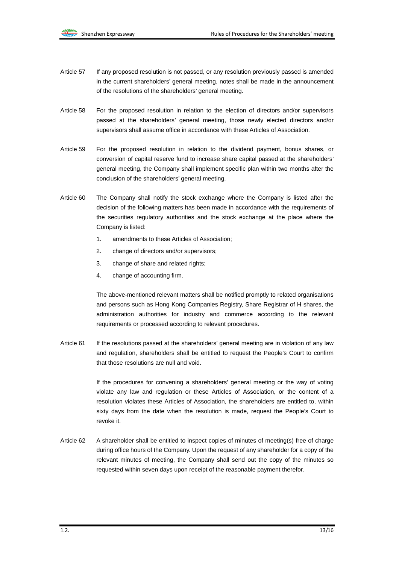- Article 57 If any proposed resolution is not passed, or any resolution previously passed is amended in the current shareholders' general meeting, notes shall be made in the announcement of the resolutions of the shareholders' general meeting.
- Article 58 For the proposed resolution in relation to the election of directors and/or supervisors passed at the shareholders' general meeting, those newly elected directors and/or supervisors shall assume office in accordance with these Articles of Association.
- Article 59 For the proposed resolution in relation to the dividend payment, bonus shares, or conversion of capital reserve fund to increase share capital passed at the shareholders' general meeting, the Company shall implement specific plan within two months after the conclusion of the shareholders' general meeting.
- Article 60 The Company shall notify the stock exchange where the Company is listed after the decision of the following matters has been made in accordance with the requirements of the securities regulatory authorities and the stock exchange at the place where the Company is listed:
	- 1. amendments to these Articles of Association;
	- 2. change of directors and/or supervisors;
	- 3. change of share and related rights;
	- 4. change of accounting firm.

The above-mentioned relevant matters shall be notified promptly to related organisations and persons such as Hong Kong Companies Registry, Share Registrar of H shares, the administration authorities for industry and commerce according to the relevant requirements or processed according to relevant procedures.

Article 61 If the resolutions passed at the shareholders' general meeting are in violation of any law and regulation, shareholders shall be entitled to request the People's Court to confirm that those resolutions are null and void.

> If the procedures for convening a shareholders' general meeting or the way of voting violate any law and regulation or these Articles of Association, or the content of a resolution violates these Articles of Association, the shareholders are entitled to, within sixty days from the date when the resolution is made, request the People's Court to revoke it.

Article 62 A shareholder shall be entitled to inspect copies of minutes of meeting(s) free of charge during office hours of the Company. Upon the request of any shareholder for a copy of the relevant minutes of meeting, the Company shall send out the copy of the minutes so requested within seven days upon receipt of the reasonable payment therefor.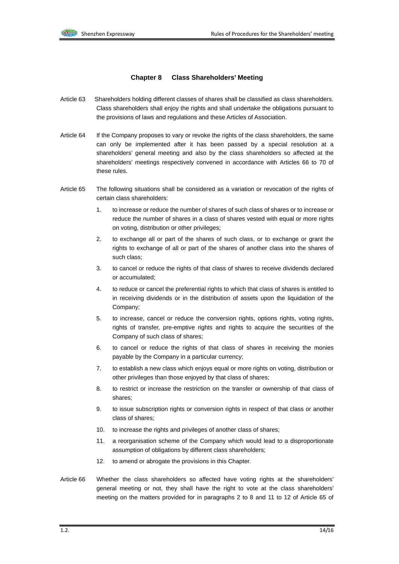#### **Chapter 8 Class Shareholders' Meeting**

- Article 63 Shareholders holding different classes of shares shall be classified as class shareholders. Class shareholders shall enjoy the rights and shall undertake the obligations pursuant to the provisions of laws and regulations and these Articles of Association.
- Article 64 If the Company proposes to vary or revoke the rights of the class shareholders, the same can only be implemented after it has been passed by a special resolution at a shareholders' general meeting and also by the class shareholders so affected at the shareholders' meetings respectively convened in accordance with Articles 66 to 70 of these rules.
- Article 65 The following situations shall be considered as a variation or revocation of the rights of certain class shareholders:
	- 1. to increase or reduce the number of shares of such class of shares or to increase or reduce the number of shares in a class of shares vested with equal or more rights on voting, distribution or other privileges;
	- 2. to exchange all or part of the shares of such class, or to exchange or grant the rights to exchange of all or part of the shares of another class into the shares of such class;
	- 3. to cancel or reduce the rights of that class of shares to receive dividends declared or accumulated;
	- 4. to reduce or cancel the preferential rights to which that class of shares is entitled to in receiving dividends or in the distribution of assets upon the liquidation of the Company;
	- 5. to increase, cancel or reduce the conversion rights, options rights, voting rights, rights of transfer, pre-emptive rights and rights to acquire the securities of the Company of such class of shares;
	- 6. to cancel or reduce the rights of that class of shares in receiving the monies payable by the Company in a particular currency;
	- 7. to establish a new class which enjoys equal or more rights on voting, distribution or other privileges than those enjoyed by that class of shares;
	- 8. to restrict or increase the restriction on the transfer or ownership of that class of shares;
	- 9. to issue subscription rights or conversion rights in respect of that class or another class of shares;
	- 10. to increase the rights and privileges of another class of shares;
	- 11. a reorganisation scheme of the Company which would lead to a disproportionate assumption of obligations by different class shareholders;
	- 12. to amend or abrogate the provisions in this Chapter.
- Article 66 Whether the class shareholders so affected have voting rights at the shareholders' general meeting or not, they shall have the right to vote at the class shareholders' meeting on the matters provided for in paragraphs 2 to 8 and 11 to 12 of Article 65 of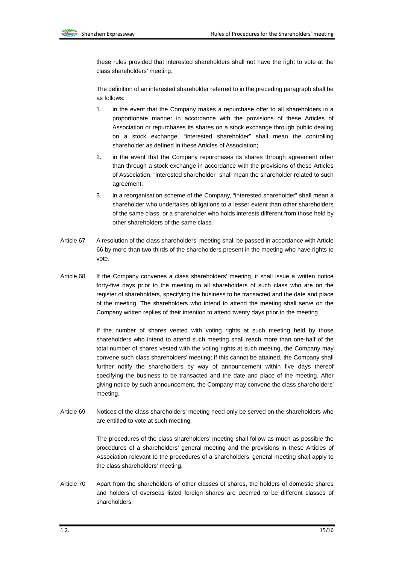these rules provided that interested shareholders shall not have the right to vote at the class shareholders' meeting.

The definition of an interested shareholder referred to in the preceding paragraph shall be as follows:

- 1. in the event that the Company makes a repurchase offer to all shareholders in a proportionate manner in accordance with the provisions of these Articles of Association or repurchases its shares on a stock exchange through public dealing on a stock exchange, "interested shareholder" shall mean the controlling shareholder as defined in these Articles of Association;
- 2. in the event that the Company repurchases its shares through agreement other than through a stock exchange in accordance with the provisions of these Articles of Association, "interested shareholder" shall mean the shareholder related to such agreement;
- 3. in a reorganisation scheme of the Company, "interested shareholder" shall mean a shareholder who undertakes obligations to a lesser extent than other shareholders of the same class, or a shareholder who holds interests different from those held by other shareholders of the same class.
- Article 67 A resolution of the class shareholders' meeting shall be passed in accordance with Article 66 by more than two-thirds of the shareholders present in the meeting who have rights to vote.
- Article 68 If the Company convenes a class shareholders' meeting, it shall issue a written notice forty-five days prior to the meeting to all shareholders of such class who are on the register of shareholders, specifying the business to be transacted and the date and place of the meeting. The shareholders who intend to attend the meeting shall serve on the Company written replies of their intention to attend twenty days prior to the meeting.

If the number of shares vested with voting rights at such meeting held by those shareholders who intend to attend such meeting shall reach more than one-half of the total number of shares vested with the voting rights at such meeting, the Company may convene such class shareholders' meeting; if this cannot be attained, the Company shall further notify the shareholders by way of announcement within five days thereof specifying the business to be transacted and the date and place of the meeting. After giving notice by such announcement, the Company may convene the class shareholders' meeting.

Article 69 Notices of the class shareholders' meeting need only be served on the shareholders who are entitled to vote at such meeting.

> The procedures of the class shareholders' meeting shall follow as much as possible the procedures of a shareholders' general meeting and the provisions in these Articles of Association relevant to the procedures of a shareholders' general meeting shall apply to the class shareholders' meeting.

Article 70 Apart from the shareholders of other classes of shares, the holders of domestic shares and holders of overseas listed foreign shares are deemed to be different classes of shareholders.